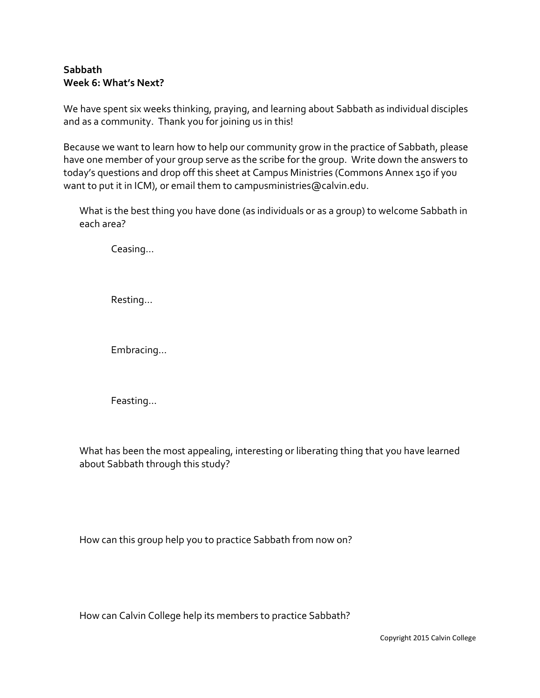## **Sabbath Week 6: What's Next?**

We have spent six weeks thinking, praying, and learning about Sabbath as individual disciples and as a community. Thank you for joining us in this!

Because we want to learn how to help our community grow in the practice of Sabbath, please have one member of your group serve as the scribe for the group. Write down the answers to today's questions and drop off this sheet at Campus Ministries (Commons Annex 150 if you want to put it in ICM), or email them to [campusministries@calvin.edu.](mailto:campusministries@calvin.edu)

What is the best thing you have done (as individuals or as a group) to welcome Sabbath in each area?

Ceasing…

Resting…

Embracing…

Feasting…

What has been the most appealing, interesting or liberating thing that you have learned about Sabbath through this study?

How can this group help you to practice Sabbath from now on?

How can Calvin College help its members to practice Sabbath?